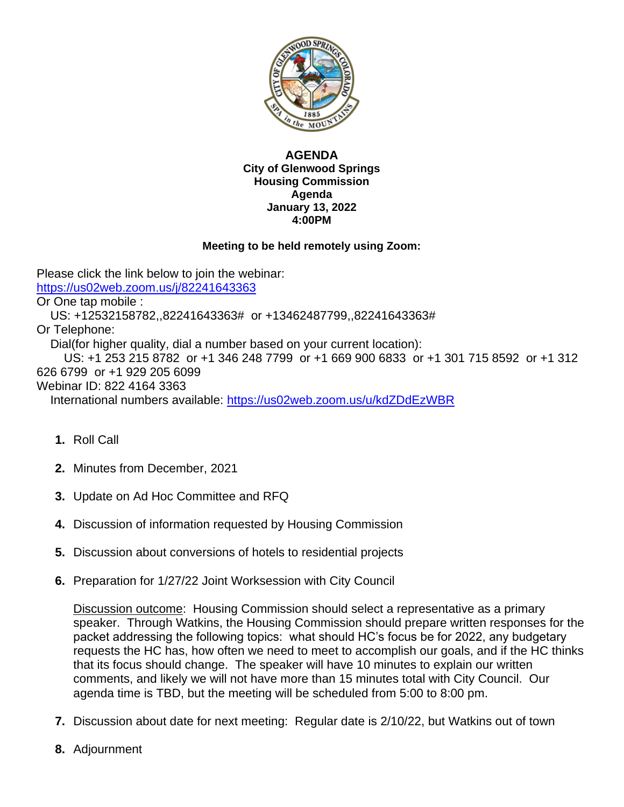

## **AGENDA City of Glenwood Springs Housing Commission Agenda January 13, 2022 4:00PM**

## **Meeting to be held remotely using Zoom:**

Please click the link below to join the webinar: <https://us02web.zoom.us/j/82241643363> Or One tap mobile : US: +12532158782,,82241643363# or +13462487799,,82241643363# Or Telephone: Dial(for higher quality, dial a number based on your current location): US: +1 253 215 8782 or +1 346 248 7799 or +1 669 900 6833 or +1 301 715 8592 or +1 312 626 6799 or +1 929 205 6099 Webinar ID: 822 4164 3363 International numbers available:<https://us02web.zoom.us/u/kdZDdEzWBR>

- **1.** Roll Call
- **2.** Minutes from December, 2021
- **3.** Update on Ad Hoc Committee and RFQ
- **4.** Discussion of information requested by Housing Commission
- **5.** Discussion about conversions of hotels to residential projects
- **6.** Preparation for 1/27/22 Joint Worksession with City Council

Discussion outcome: Housing Commission should select a representative as a primary speaker. Through Watkins, the Housing Commission should prepare written responses for the packet addressing the following topics: what should HC's focus be for 2022, any budgetary requests the HC has, how often we need to meet to accomplish our goals, and if the HC thinks that its focus should change. The speaker will have 10 minutes to explain our written comments, and likely we will not have more than 15 minutes total with City Council. Our agenda time is TBD, but the meeting will be scheduled from 5:00 to 8:00 pm.

- **7.** Discussion about date for next meeting: Regular date is 2/10/22, but Watkins out of town
- **8.** Adjournment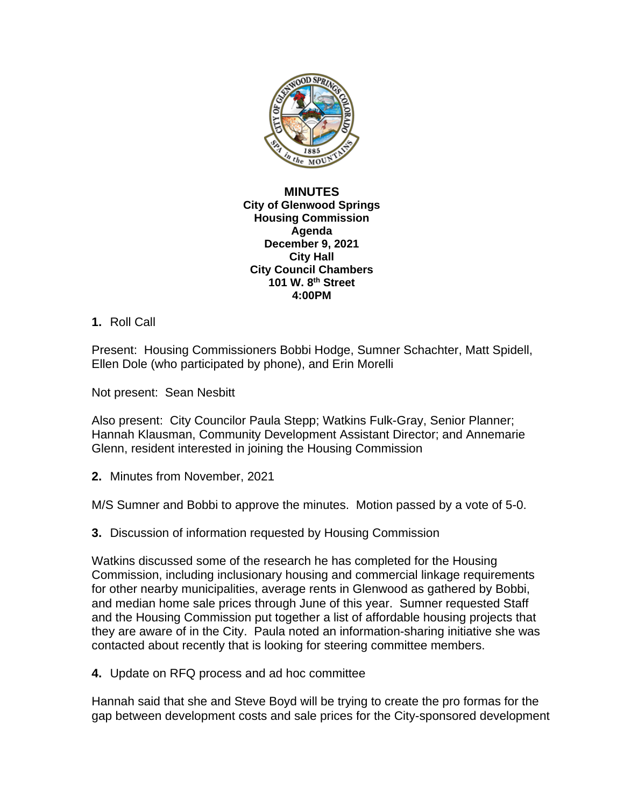

**MINUTES City of Glenwood Springs Housing Commission Agenda December 9, 2021 City Hall City Council Chambers 101 W. 8th Street 4:00PM**

## **1.** Roll Call

Present: Housing Commissioners Bobbi Hodge, Sumner Schachter, Matt Spidell, Ellen Dole (who participated by phone), and Erin Morelli

Not present: Sean Nesbitt

Also present: City Councilor Paula Stepp; Watkins Fulk-Gray, Senior Planner; Hannah Klausman, Community Development Assistant Director; and Annemarie Glenn, resident interested in joining the Housing Commission

**2.** Minutes from November, 2021

M/S Sumner and Bobbi to approve the minutes. Motion passed by a vote of 5-0.

**3.** Discussion of information requested by Housing Commission

Watkins discussed some of the research he has completed for the Housing Commission, including inclusionary housing and commercial linkage requirements for other nearby municipalities, average rents in Glenwood as gathered by Bobbi, and median home sale prices through June of this year. Sumner requested Staff and the Housing Commission put together a list of affordable housing projects that they are aware of in the City. Paula noted an information-sharing initiative she was contacted about recently that is looking for steering committee members.

**4.** Update on RFQ process and ad hoc committee

Hannah said that she and Steve Boyd will be trying to create the pro formas for the gap between development costs and sale prices for the City-sponsored development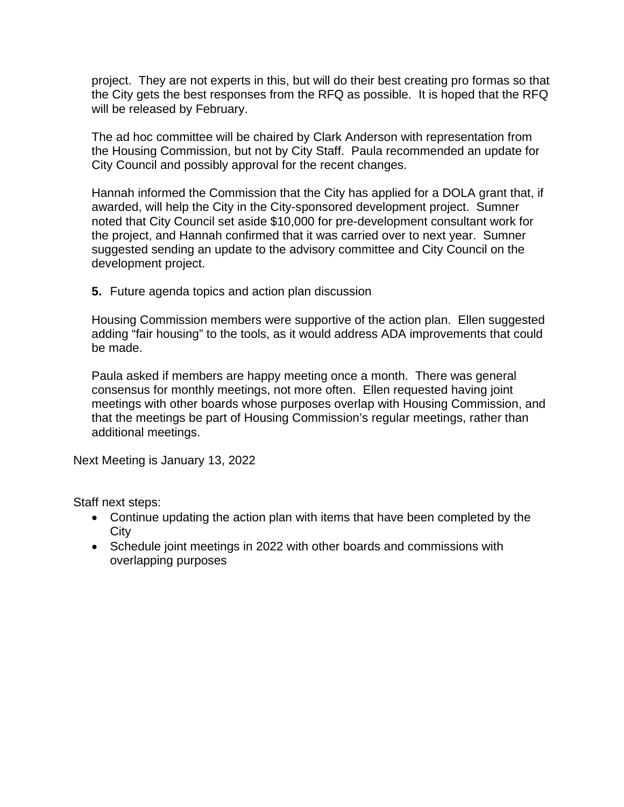project. They are not experts in this, but will do their best creating pro formas so that the City gets the best responses from the RFQ as possible. It is hoped that the RFQ will be released by February.

The ad hoc committee will be chaired by Clark Anderson with representation from the Housing Commission, but not by City Staff. Paula recommended an update for City Council and possibly approval for the recent changes.

Hannah informed the Commission that the City has applied for a DOLA grant that, if awarded, will help the City in the City-sponsored development project. Sumner noted that City Council set aside \$10,000 for pre-development consultant work for the project, and Hannah confirmed that it was carried over to next year. Sumner suggested sending an update to the advisory committee and City Council on the development project.

**5.** Future agenda topics and action plan discussion

Housing Commission members were supportive of the action plan. Ellen suggested adding "fair housing" to the tools, as it would address ADA improvements that could be made.

Paula asked if members are happy meeting once a month. There was general consensus for monthly meetings, not more often. Ellen requested having joint meetings with other boards whose purposes overlap with Housing Commission, and that the meetings be part of Housing Commission's regular meetings, rather than additional meetings.

Next Meeting is January 13, 2022

Staff next steps:

- Continue updating the action plan with items that have been completed by the **City**
- Schedule joint meetings in 2022 with other boards and commissions with overlapping purposes